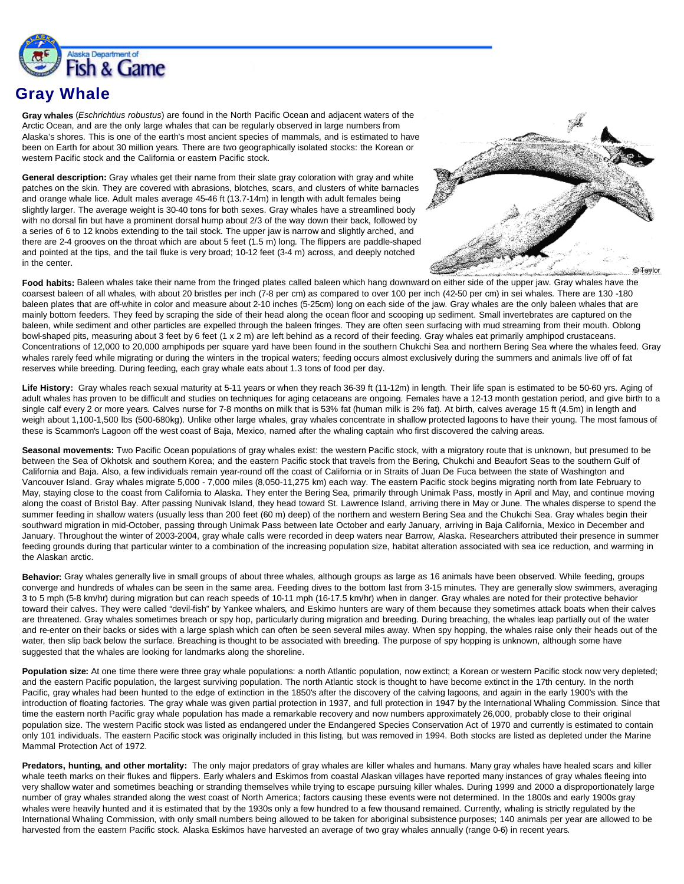

## **Gray Whale**

**Gray whales** (*Eschrichtius robustus*) are found in the North Pacific Ocean and adjacent waters of the Arctic Ocean, and are the only large whales that can be regularly observed in large numbers from Alaska's shores. This is one of the earth's most ancient species of mammals, and is estimated to have been on Earth for about 30 million years. There are two geographically isolated stocks: the Korean or western Pacific stock and the California or eastern Pacific stock.

**General description:** Gray whales get their name from their slate gray coloration with gray and white patches on the skin. They are covered with abrasions, blotches, scars, and clusters of white barnacles and orange whale lice. Adult males average 45-46 ft (13.7-14m) in length with adult females being slightly larger. The average weight is 30-40 tons for both sexes. Gray whales have a streamlined body with no dorsal fin but have a prominent dorsal hump about 2/3 of the way down their back, followed by a series of 6 to 12 knobs extending to the tail stock. The upper jaw is narrow and slightly arched, and there are 2-4 grooves on the throat which are about 5 feet (1.5 m) long. The flippers are paddle-shaped and pointed at the tips, and the tail fluke is very broad; 10-12 feet (3-4 m) across, and deeply notched in the center.



Food habits: Baleen whales take their name from the fringed plates called baleen which hang downward on either side of the upper jaw. Gray whales have the coarsest baleen of all whales, with about 20 bristles per inch (7-8 per cm) as compared to over 100 per inch (42-50 per cm) in sei whales. There are 130 -180 baleen plates that are off-white in color and measure about 2-10 inches (5-25cm) long on each side of the jaw. Gray whales are the only baleen whales that are mainly bottom feeders. They feed by scraping the side of their head along the ocean floor and scooping up sediment. Small invertebrates are captured on the baleen, while sediment and other particles are expelled through the baleen fringes. They are often seen surfacing with mud streaming from their mouth. Oblong bowl-shaped pits, measuring about 3 feet by 6 feet (1 x 2 m) are left behind as a record of their feeding. Gray whales eat primarily amphipod crustaceans. Concentrations of 12,000 to 20,000 amphipods per square yard have been found in the southern Chukchi Sea and northern Bering Sea where the whales feed. Gray whales rarely feed while migrating or during the winters in the tropical waters; feeding occurs almost exclusively during the summers and animals live off of fat reserves while breeding. During feeding, each gray whale eats about 1.3 tons of food per day.

**Life History:** Gray whales reach sexual maturity at 5-11 years or when they reach 36-39 ft (11-12m) in length. Their life span is estimated to be 50-60 yrs. Aging of adult whales has proven to be difficult and studies on techniques for aging cetaceans are ongoing. Females have a 12-13 month gestation period, and give birth to a single calf every 2 or more years. Calves nurse for 7-8 months on milk that is 53% fat (human milk is 2% fat). At birth, calves average 15 ft (4.5m) in length and weigh about 1,100-1,500 lbs (500-680kg). Unlike other large whales, gray whales concentrate in shallow protected lagoons to have their young. The most famous of these is Scammon's Lagoon off the west coast of Baja, Mexico, named after the whaling captain who first discovered the calving areas.

**Seasonal movements:** Two Pacific Ocean populations of gray whales exist: the western Pacific stock, with a migratory route that is unknown, but presumed to be between the Sea of Okhotsk and southern Korea; and the eastern Pacific stock that travels from the Bering, Chukchi and Beaufort Seas to the southern Gulf of California and Baja. Also, a few individuals remain year-round off the coast of California or in Straits of Juan De Fuca between the state of Washington and Vancouver Island. Gray whales migrate 5,000 - 7,000 miles (8,050-11,275 km) each way. The eastern Pacific stock begins migrating north from late February to May, staying close to the coast from California to Alaska. They enter the Bering Sea, primarily through Unimak Pass, mostly in April and May, and continue moving along the coast of Bristol Bay. After passing Nunivak Island, they head toward St. Lawrence Island, arriving there in May or June. The whales disperse to spend the summer feeding in shallow waters (usually less than 200 feet (60 m) deep) of the northern and western Bering Sea and the Chukchi Sea. Gray whales begin their southward migration in mid-October, passing through Unimak Pass between late October and early January, arriving in Baia California, Mexico in December and January. Throughout the winter of 2003-2004, gray whale calls were recorded in deep waters near Barrow, Alaska. Researchers attributed their presence in summer feeding grounds during that particular winter to a combination of the increasing population size, habitat alteration associated with sea ice reduction, and warming in the Alaskan arctic.

**Behavior:** Gray whales generally live in small groups of about three whales, although groups as large as 16 animals have been observed. While feeding, groups converge and hundreds of whales can be seen in the same area. Feeding dives to the bottom last from 3-15 minutes. They are generally slow swimmers, averaging 3 to 5 mph (5-8 km/hr) during migration but can reach speeds of 10-11 mph (16-17.5 km/hr) when in danger. Gray whales are noted for their protective behavior toward their calves. They were called "devil-fish" by Yankee whalers, and Eskimo hunters are wary of them because they sometimes attack boats when their calves are threatened. Gray whales sometimes breach or spy hop, particularly during migration and breeding. During breaching, the whales leap partially out of the water and re-enter on their backs or sides with a large splash which can often be seen several miles away. When spy hopping, the whales raise only their heads out of the water, then slip back below the surface. Breaching is thought to be associated with breeding. The purpose of spy hopping is unknown, although some have suggested that the whales are looking for landmarks along the shoreline.

Population size: At one time there were three gray whale populations: a north Atlantic population, now extinct; a Korean or western Pacific stock now very depleted; and the eastern Pacific population, the largest surviving population. The north Atlantic stock is thought to have become extinct in the 17th century. In the north Pacific, gray whales had been hunted to the edge of extinction in the 1850's after the discovery of the calving lagoons, and again in the early 1900's with the introduction of floating factories. The gray whale was given partial protection in 1937, and full protection in 1947 by the International Whaling Commission. Since that time the eastern north Pacific gray whale population has made a remarkable recovery and now numbers approximately 26,000, probably close to their original population size. The western Pacific stock was listed as endangered under the Endangered Species Conservation Act of 1970 and currently is estimated to contain only 101 individuals. The eastern Pacific stock was originally included in this listing, but was removed in 1994. Both stocks are listed as depleted under the Marine Mammal Protection Act of 1972.

**Predators, hunting, and other mortality:** The only major predators of gray whales are killer whales and humans. Many gray whales have healed scars and killer whale teeth marks on their flukes and flippers. Early whalers and Eskimos from coastal Alaskan villages have reported many instances of gray whales fleeing into very shallow water and sometimes beaching or stranding themselves while trying to escape pursuing killer whales. During 1999 and 2000 a disproportionately large number of gray whales stranded along the west coast of North America; factors causing these events were not determined. In the 1800s and early 1900s gray whales were heavily hunted and it is estimated that by the 1930s only a few hundred to a few thousand remained. Currently, whaling is strictly regulated by the International Whaling Commission, with only small numbers being allowed to be taken for aboriginal subsistence purposes; 140 animals per year are allowed to be harvested from the eastern Pacific stock. Alaska Eskimos have harvested an average of two gray whales annually (range 0-6) in recent years.